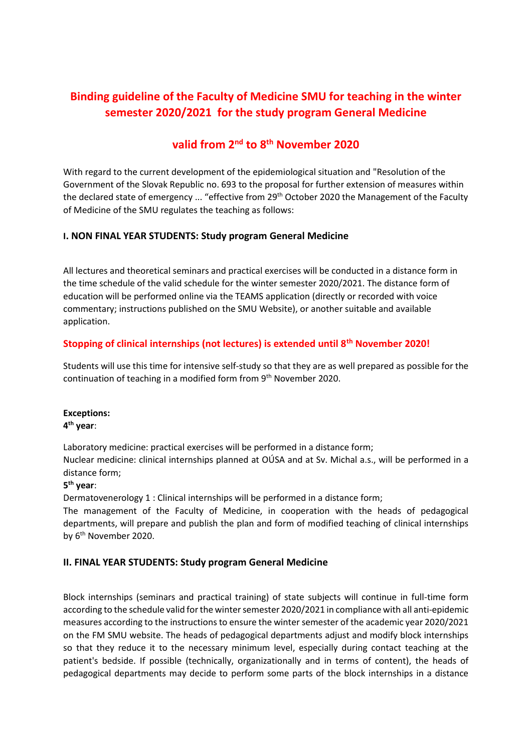# **Binding guideline of the Faculty of Medicine SMU for teaching in the winter semester 2020/2021 for the study program General Medicine**

## **valid from 2nd to 8th November 2020**

With regard to the current development of the epidemiological situation and "Resolution of the Government of the Slovak Republic no. 693 to the proposal for further extension of measures within the declared state of emergency ... "effective from 29th October 2020 the Management of the Faculty of Medicine of the SMU regulates the teaching as follows:

#### **I. NON FINAL YEAR STUDENTS: Study program General Medicine**

All lectures and theoretical seminars and practical exercises will be conducted in a distance form in the time schedule of the valid schedule for the winter semester 2020/2021. The distance form of education will be performed online via the TEAMS application (directly or recorded with voice commentary; instructions published on the SMU Website), or another suitable and available application.

## **Stopping of clinical internships (not lectures) is extended until 8th November 2020!**

Students will use this time for intensive self-study so that they are as well prepared as possible for the continuation of teaching in a modified form from 9th November 2020.

#### **Exceptions:**

## **4 th year**:

Laboratory medicine: practical exercises will be performed in a distance form; Nuclear medicine: clinical internships planned at OÚSA and at Sv. Michal a.s., will be performed in a distance form;

#### **5 th year**:

Dermatovenerology 1 : Clinical internships will be performed in a distance form;

The management of the Faculty of Medicine, in cooperation with the heads of pedagogical departments, will prepare and publish the plan and form of modified teaching of clinical internships by 6<sup>th</sup> November 2020.

#### **II. FINAL YEAR STUDENTS: Study program General Medicine**

Block internships (seminars and practical training) of state subjects will continue in full-time form according to the schedule valid for the winter semester 2020/2021 in compliance with all anti-epidemic measures according to the instructions to ensure the winter semester of the academic year 2020/2021 on the FM SMU website. The heads of pedagogical departments adjust and modify block internships so that they reduce it to the necessary minimum level, especially during contact teaching at the patient's bedside. If possible (technically, organizationally and in terms of content), the heads of pedagogical departments may decide to perform some parts of the block internships in a distance